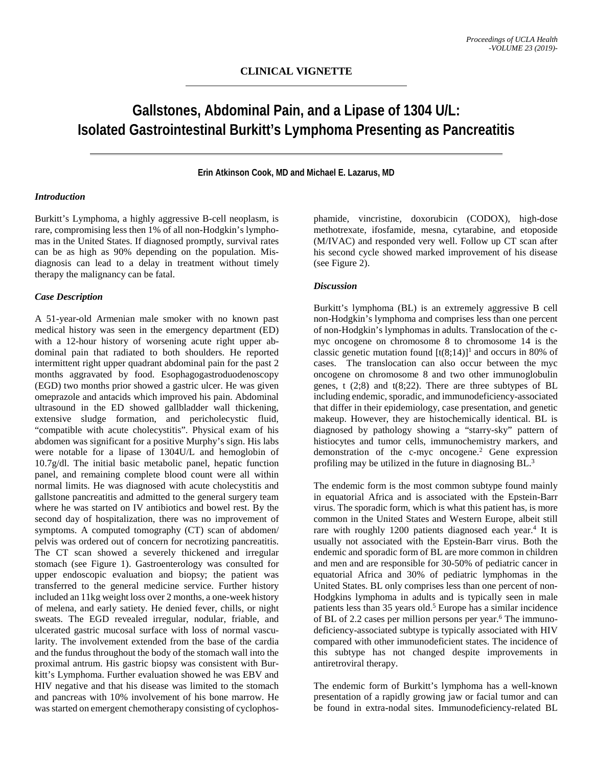# **Gallstones, Abdominal Pain, and a Lipase of 1304 U/L: Isolated Gastrointestinal Burkitt's Lymphoma Presenting as Pancreatitis**

### **Erin Atkinson Cook, MD and Michael E. Lazarus, MD**

# *Introduction*

Burkitt's Lymphoma, a highly aggressive B-cell neoplasm, is rare, compromising less then 1% of all non-Hodgkin's lymphomas in the United States. If diagnosed promptly, survival rates can be as high as 90% depending on the population. Misdiagnosis can lead to a delay in treatment without timely therapy the malignancy can be fatal.

#### *Case Description*

A 51-year-old Armenian male smoker with no known past medical history was seen in the emergency department (ED) with a 12-hour history of worsening acute right upper abdominal pain that radiated to both shoulders. He reported intermittent right upper quadrant abdominal pain for the past 2 months aggravated by food. Esophagogastroduodenoscopy (EGD) two months prior showed a gastric ulcer. He was given omeprazole and antacids which improved his pain. Abdominal ultrasound in the ED showed gallbladder wall thickening, extensive sludge formation, and pericholecystic fluid, "compatible with acute cholecystitis". Physical exam of his abdomen was significant for a positive Murphy's sign. His labs were notable for a lipase of 1304U/L and hemoglobin of 10.7g/dl. The initial basic metabolic panel, hepatic function panel, and remaining complete blood count were all within normal limits. He was diagnosed with acute cholecystitis and gallstone pancreatitis and admitted to the general surgery team where he was started on IV antibiotics and bowel rest. By the second day of hospitalization, there was no improvement of symptoms. A computed tomography (CT) scan of abdomen/ pelvis was ordered out of concern for necrotizing pancreatitis. The CT scan showed a severely thickened and irregular stomach (see Figure 1). Gastroenterology was consulted for upper endoscopic evaluation and biopsy; the patient was transferred to the general medicine service. Further history included an 11kg weight loss over 2 months, a one-week history of melena, and early satiety. He denied fever, chills, or night sweats. The EGD revealed irregular, nodular, friable, and ulcerated gastric mucosal surface with loss of normal vascularity. The involvement extended from the base of the cardia and the fundus throughout the body of the stomach wall into the proximal antrum. His gastric biopsy was consistent with Burkitt's Lymphoma. Further evaluation showed he was EBV and HIV negative and that his disease was limited to the stomach and pancreas with 10% involvement of his bone marrow. He was started on emergent chemotherapy consisting of cyclophos-

phamide, vincristine, doxorubicin (CODOX), high-dose methotrexate, ifosfamide, mesna, cytarabine, and etoposide (M/IVAC) and responded very well. Follow up CT scan after his second cycle showed marked improvement of his disease (see Figure 2).

## *Discussion*

Burkitt's lymphoma (BL) is an extremely aggressive B cell non-Hodgkin's lymphoma and comprises less than one percent of non-Hodgkin's lymphomas in adults. Translocation of the cmyc oncogene on chromosome 8 to chromosome 14 is the classic genetic mutation found  $[t(8;14)]^1$  and occurs in 80% of cases. The translocation can also occur between the myc oncogene on chromosome 8 and two other immunoglobulin genes,  $t(2,8)$  and  $t(8,22)$ . There are three subtypes of BL including endemic, sporadic, and immunodeficiency-associated that differ in their epidemiology, case presentation, and genetic makeup. However, they are histochemically identical. BL is diagnosed by pathology showing a "starry-sky" pattern of histiocytes and tumor cells, immunochemistry markers, and demonstration of the c-myc oncogene. <sup>2</sup> Gene expression profiling may be utilized in the future in diagnosing BL.<sup>3</sup>

The endemic form is the most common subtype found mainly in equatorial Africa and is associated with the Epstein-Barr virus. The sporadic form, which is what this patient has, is more common in the United States and Western Europe, albeit still rare with roughly 1200 patients diagnosed each year. <sup>4</sup> It is usually not associated with the Epstein-Barr virus. Both the endemic and sporadic form of BL are more common in children and men and are responsible for 30-50% of pediatric cancer in equatorial Africa and 30% of pediatric lymphomas in the United States. BL only comprises less than one percent of non-Hodgkins lymphoma in adults and is typically seen in male patients less than 35 years old. <sup>5</sup> Europe has a similar incidence of BL of 2.2 cases per million persons per year. <sup>6</sup> The immunodeficiency-associated subtype is typically associated with HIV compared with other immunodeficient states. The incidence of this subtype has not changed despite improvements in antiretroviral therapy.

The endemic form of Burkitt's lymphoma has a well-known presentation of a rapidly growing jaw or facial tumor and can be found in extra-nodal sites. Immunodeficiency-related BL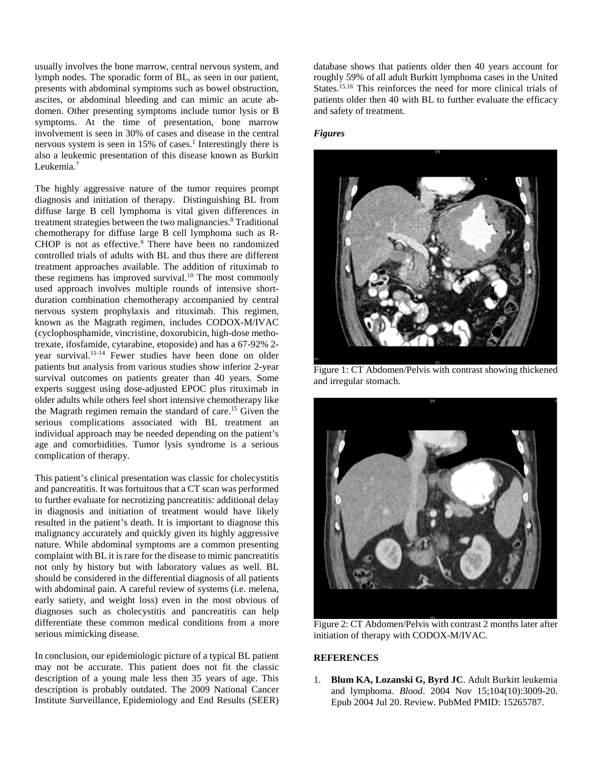usually involves the bone marrow, central nervous system, and lymph nodes. The sporadic form of BL, as seen in our patient, presents with abdominal symptoms such as bowel obstruction, ascites, or abdominal bleeding and can mimic an acute abdomen. Other presenting symptoms include tumor lysis or B symptoms. At the time of presentation, bone marrow involvement is seen in 30% of cases and disease in the central nervous system is seen in 15% of cases. <sup>1</sup> Interestingly there is also a leukemic presentation of this disease known as Burkitt Leukemia.<sup>7</sup>

The highly aggressive nature of the tumor requires prompt diagnosis and initiation of therapy. Distinguishing BL from diffuse large B cell lymphoma is vital given differences in treatment strategies between the two malignancies. <sup>8</sup> Traditional chemotherapy for diffuse large B cell lymphoma such as R-CHOP is not as effective. <sup>9</sup> There have been no randomized controlled trials of adults with BL and thus there are different treatment approaches available. The addition of rituximab to these regimens has improved survival. <sup>10</sup> The most commonly used approach involves multiple rounds of intensive shortduration combination chemotherapy accompanied by central nervous system prophylaxis and rituximab. This regimen, known as the Magrath regimen, includes CODOX-M/IVAC (cyclophosphamide, vincristine, doxorubicin, high-dose methotrexate, ifosfamide, cytarabine, etoposide) and has a 67-92% 2 year survival. 11-14 Fewer studies have been done on older patients but analysis from various studies show inferior 2-year survival outcomes on patients greater than 40 years. Some experts suggest using dose-adjusted EPOC plus rituximab in older adults while others feel short intensive chemotherapy like the Magrath regimen remain the standard of care. <sup>15</sup> Given the serious complications associated with BL treatment an individual approach may be needed depending on the patient's age and comorbidities. Tumor lysis syndrome is a serious complication of therapy.

This patient's clinical presentation was classic for cholecystitis and pancreatitis. It was fortuitous that a CT scan was performed to further evaluate for necrotizing pancreatitis: additional delay in diagnosis and initiation of treatment would have likely resulted in the patient's death. It is important to diagnose this malignancy accurately and quickly given its highly aggressive nature. While abdominal symptoms are a common presenting complaint with BL it is rare for the disease to mimic pancreatitis not only by history but with laboratory values as well. BL should be considered in the differential diagnosis of all patients with abdominal pain. A careful review of systems (i.e. melena, early satiety, and weight loss) even in the most obvious of diagnoses such as cholecystitis and pancreatitis can help differentiate these common medical conditions from a more serious mimicking disease.

In conclusion, our epidemiologic picture of a typical BL patient may not be accurate. This patient does not fit the classic description of a young male less then 35 years of age. This description is probably outdated. The 2009 National Cancer Institute Surveillance, Epidemiology and End Results (SEER)

database shows that patients older then 40 years account for roughly 59% of all adult Burkitt lymphoma cases in the United States. 15,16 This reinforces the need for more clinical trials of patients older then 40 with BL to further evaluate the efficacy and safety of treatment.

#### *Figures*



Figure 1: CT Abdomen/Pelvis with contrast showing thickened and irregular stomach.



Figure 2: CT Abdomen/Pelvis with contrast 2 months later after initiation of therapy with CODOX-M/IVAC.

# **REFERENCES**

1. **Blum KA, Lozanski G, Byrd JC**. Adult Burkitt leukemia and lymphoma. *Blood*. 2004 Nov 15;104(10):3009-20. Epub 2004 Jul 20. Review. PubMed PMID: 15265787.